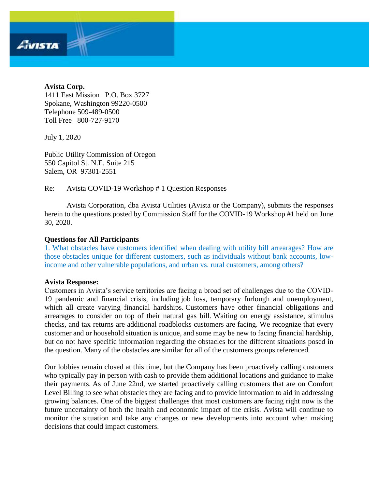#### **Avista Corp.**

Avista

1411 East Mission P.O. Box 3727 Spokane, Washington 99220-0500 Telephone 509-489-0500 Toll Free 800-727-9170

July 1, 2020

Public Utility Commission of Oregon 550 Capitol St. N.E. Suite 215 Salem, OR 97301-2551

Re: Avista COVID-19 Workshop # 1 Question Responses

Avista Corporation, dba Avista Utilities (Avista or the Company), submits the responses herein to the questions posted by Commission Staff for the COVID-19 Workshop #1 held on June 30, 2020.

# **Questions for All Participants**

1. What obstacles have customers identified when dealing with utility bill arrearages? How are those obstacles unique for different customers, such as individuals without bank accounts, lowincome and other vulnerable populations, and urban vs. rural customers, among others?

#### **Avista Response:**

Customers in Avista's service territories are facing a broad set of challenges due to the COVID-19 pandemic and financial crisis, including job loss, temporary furlough and unemployment, which all create varying financial hardships. Customers have other financial obligations and arrearages to consider on top of their natural gas bill. Waiting on energy assistance, stimulus checks, and tax returns are additional roadblocks customers are facing. We recognize that every customer and or household situation is unique, and some may be new to facing financial hardship, but do not have specific information regarding the obstacles for the different situations posed in the question. Many of the obstacles are similar for all of the customers groups referenced.

Our lobbies remain closed at this time, but the Company has been proactively calling customers who typically pay in person with cash to provide them additional locations and guidance to make their payments. As of June 22nd, we started proactively calling customers that are on Comfort Level Billing to see what obstacles they are facing and to provide information to aid in addressing growing balances. One of the biggest challenges that most customers are facing right now is the future uncertainty of both the health and economic impact of the crisis. Avista will continue to monitor the situation and take any changes or new developments into account when making decisions that could impact customers.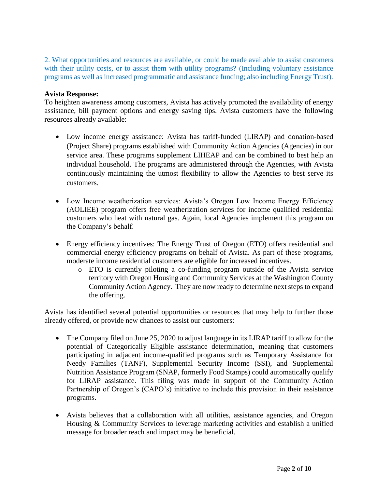2. What opportunities and resources are available, or could be made available to assist customers with their utility costs, or to assist them with utility programs? (Including voluntary assistance programs as well as increased programmatic and assistance funding; also including Energy Trust).

# **Avista Response:**

To heighten awareness among customers, Avista has actively promoted the availability of energy assistance, bill payment options and energy saving tips. Avista customers have the following resources already available:

- Low income energy assistance: Avista has tariff-funded (LIRAP) and donation-based (Project Share) programs established with Community Action Agencies (Agencies) in our service area. These programs supplement LIHEAP and can be combined to best help an individual household. The programs are administered through the Agencies, with Avista continuously maintaining the utmost flexibility to allow the Agencies to best serve its customers.
- Low Income weatherization services: Avista's Oregon Low Income Energy Efficiency (AOLIEE) program offers free weatherization services for income qualified residential customers who heat with natural gas. Again, local Agencies implement this program on the Company's behalf.
- Energy efficiency incentives: The Energy Trust of Oregon (ETO) offers residential and commercial energy efficiency programs on behalf of Avista. As part of these programs, moderate income residential customers are eligible for increased incentives.
	- o ETO is currently piloting a co-funding program outside of the Avista service territory with Oregon Housing and Community Services at the Washington County Community Action Agency. They are now ready to determine next steps to expand the offering.

Avista has identified several potential opportunities or resources that may help to further those already offered, or provide new chances to assist our customers:

- The Company filed on June 25, 2020 to adjust language in its LIRAP tariff to allow for the potential of Categorically Eligible assistance determination, meaning that customers participating in adjacent income-qualified programs such as Temporary Assistance for Needy Families (TANF), Supplemental Security Income (SSI), and Supplemental Nutrition Assistance Program (SNAP, formerly Food Stamps) could automatically qualify for LIRAP assistance. This filing was made in support of the Community Action Partnership of Oregon's (CAPO's) initiative to include this provision in their assistance programs.
- Avista believes that a collaboration with all utilities, assistance agencies, and Oregon Housing & Community Services to leverage marketing activities and establish a unified message for broader reach and impact may be beneficial.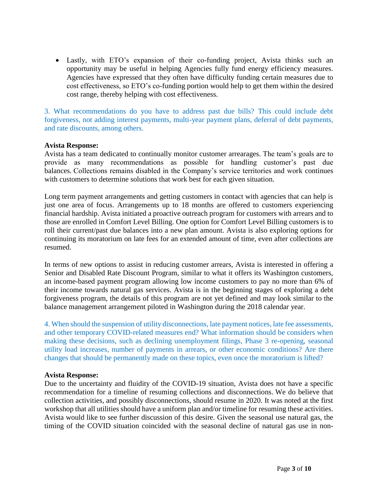Lastly, with ETO's expansion of their co-funding project, Avista thinks such an opportunity may be useful in helping Agencies fully fund energy efficiency measures. Agencies have expressed that they often have difficulty funding certain measures due to cost effectiveness, so ETO's co-funding portion would help to get them within the desired cost range, thereby helping with cost effectiveness.

3. What recommendations do you have to address past due bills? This could include debt forgiveness, not adding interest payments, multi-year payment plans, deferral of debt payments, and rate discounts, among others.

# **Avista Response:**

Avista has a team dedicated to continually monitor customer arrearages. The team's goals are to provide as many recommendations as possible for handling customer's past due balances. Collections remains disabled in the Company's service territories and work continues with customers to determine solutions that work best for each given situation.

Long term payment arrangements and getting customers in contact with agencies that can help is just one area of focus. Arrangements up to 18 months are offered to customers experiencing financial hardship. Avista initiated a proactive outreach program for customers with arrears and to those are enrolled in Comfort Level Billing. One option for Comfort Level Billing customers is to roll their current/past due balances into a new plan amount. Avista is also exploring options for continuing its moratorium on late fees for an extended amount of time, even after collections are resumed.

In terms of new options to assist in reducing customer arrears, Avista is interested in offering a Senior and Disabled Rate Discount Program, similar to what it offers its Washington customers, an income-based payment program allowing low income customers to pay no more than 6% of their income towards natural gas services. Avista is in the beginning stages of exploring a debt forgiveness program, the details of this program are not yet defined and may look similar to the balance management arrangement piloted in Washington during the 2018 calendar year.

4. When should the suspension of utility disconnections, late payment notices, late fee assessments, and other temporary COVID-related measures end? What information should be considers when making these decisions, such as declining unemployment filings, Phase 3 re-opening, seasonal utility load increases, number of payments in arrears, or other economic conditions? Are there changes that should be permanently made on these topics, even once the moratorium is lifted?

#### **Avista Response:**

Due to the uncertainty and fluidity of the COVID-19 situation, Avista does not have a specific recommendation for a timeline of resuming collections and disconnections. We do believe that collection activities, and possibly disconnections, should resume in 2020. It was noted at the first workshop that all utilities should have a uniform plan and/or timeline for resuming these activities. Avista would like to see further discussion of this desire. Given the seasonal use natural gas, the timing of the COVID situation coincided with the seasonal decline of natural gas use in non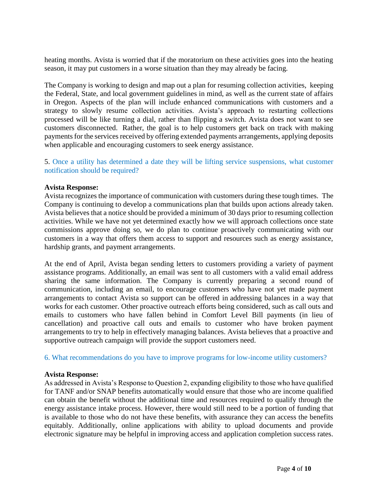heating months. Avista is worried that if the moratorium on these activities goes into the heating season, it may put customers in a worse situation than they may already be facing.

The Company is working to design and map out a plan for resuming collection activities, keeping the Federal, State, and local government guidelines in mind, as well as the current state of affairs in Oregon. Aspects of the plan will include enhanced communications with customers and a strategy to slowly resume collection activities. Avista's approach to restarting collections processed will be like turning a dial, rather than flipping a switch. Avista does not want to see customers disconnected. Rather, the goal is to help customers get back on track with making payments for the services received by offering extended payments arrangements, applying deposits when applicable and encouraging customers to seek energy assistance.

5. Once a utility has determined a date they will be lifting service suspensions, what customer notification should be required?

#### **Avista Response:**

Avista recognizes the importance of communication with customers during these tough times. The Company is continuing to develop a communications plan that builds upon actions already taken. Avista believes that a notice should be provided a minimum of 30 days prior to resuming collection activities. While we have not yet determined exactly how we will approach collections once state commissions approve doing so, we do plan to continue proactively communicating with our customers in a way that offers them access to support and resources such as energy assistance, hardship grants, and payment arrangements.

At the end of April, Avista began sending letters to customers providing a variety of payment assistance programs. Additionally, an email was sent to all customers with a valid email address sharing the same information. The Company is currently preparing a second round of communication, including an email, to encourage customers who have not yet made payment arrangements to contact Avista so support can be offered in addressing balances in a way that works for each customer. Other proactive outreach efforts being considered, such as call outs and emails to customers who have fallen behind in Comfort Level Bill payments (in lieu of cancellation) and proactive call outs and emails to customer who have broken payment arrangements to try to help in effectively managing balances. Avista believes that a proactive and supportive outreach campaign will provide the support customers need.

#### 6. What recommendations do you have to improve programs for low-income utility customers?

#### **Avista Response:**

As addressed in Avista's Response to Question 2, expanding eligibility to those who have qualified for TANF and/or SNAP benefits automatically would ensure that those who are income qualified can obtain the benefit without the additional time and resources required to qualify through the energy assistance intake process. However, there would still need to be a portion of funding that is available to those who do not have these benefits, with assurance they can access the benefits equitably. Additionally, online applications with ability to upload documents and provide electronic signature may be helpful in improving access and application completion success rates.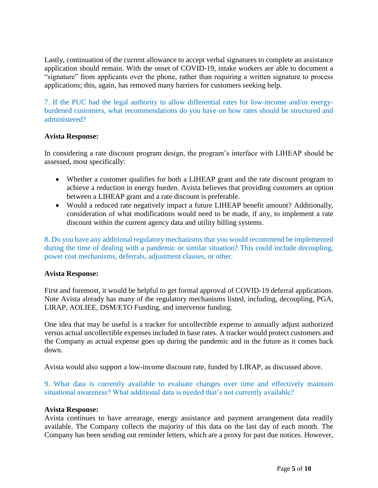Lastly, continuation of the current allowance to accept verbal signatures to complete an assistance application should remain. With the onset of COVID-19, intake workers are able to document a "signature" from applicants over the phone, rather than requiring a written signature to process applications; this, again, has removed many barriers for customers seeking help.

7. If the PUC had the legal authority to allow differential rates for low-income and/or energyburdened customers, what recommendations do you have on how rates should be structured and administered?

# **Avista Response:**

In considering a rate discount program design, the program's interface with LIHEAP should be assessed, most specifically:

- Whether a customer qualifies for both a LIHEAP grant and the rate discount program to achieve a reduction in energy burden. Avista believes that providing customers an option between a LIHEAP grant and a rate discount is preferable.
- Would a reduced rate negatively impact a future LIHEAP benefit amount? Additionally, consideration of what modifications would need to be made, if any, to implement a rate discount within the current agency data and utility billing systems.

8. Do you have any additional regulatory mechanisms that you would recommend be implemented during the time of dealing with a pandemic or similar situation? This could include decoupling, power cost mechanisms, deferrals, adjustment clauses, or other.

#### **Avista Response:**

First and foremost, it would be helpful to get formal approval of COVID-19 deferral applications. Note Avista already has many of the regulatory mechanisms listed, including, decoupling, PGA, LIRAP, AOLIEE, DSM/ETO Funding, and intervenor funding.

One idea that may be useful is a tracker for uncollectible expense to annually adjust authorized versus actual uncollectible expenses included in base rates. A tracker would protect customers and the Company as actual expense goes up during the pandemic and in the future as it comes back down.

Avista would also support a low-income discount rate, funded by LIRAP, as discussed above.

9. What data is currently available to evaluate changes over time and effectively maintain situational awareness? What additional data is needed that's not currently available?

#### **Avista Response:**

Avista continues to have arrearage, energy assistance and payment arrangement data readily available. The Company collects the majority of this data on the last day of each month. The Company has been sending out reminder letters, which are a proxy for past due notices. However,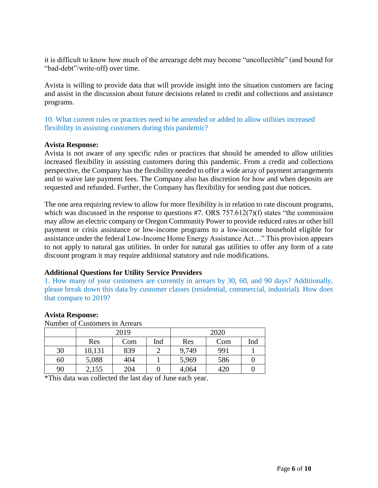it is difficult to know how much of the arrearage debt may become "uncollectible" (and bound for "bad-debt"/write-off) over time.

Avista is willing to provide data that will provide insight into the situation customers are facing and assist in the discussion about future decisions related to credit and collections and assistance programs.

10. What current rules or practices need to be amended or added to allow utilities increased flexibility in assisting customers during this pandemic?

# **Avista Response:**

Avista is not aware of any specific rules or practices that should be amended to allow utilities increased flexibility in assisting customers during this pandemic. From a credit and collections perspective, the Company has the flexibility needed to offer a wide array of payment arrangements and to waive late payment fees. The Company also has discretion for how and when deposits are requested and refunded. Further, the Company has flexibility for sending past due notices.

The one area requiring review to allow for more flexibility is in relation to rate discount programs, which was discussed in the response to questions #7. ORS 757.612(7)(f) states "the commission may allow an electric company or Oregon Community Power to provide reduced rates or other bill payment or crisis assistance or low-income programs to a low-income household eligible for assistance under the federal Low-Income Home Energy Assistance Act…" This provision appears to not apply to natural gas utilities. In order for natural gas utilities to offer any form of a rate discount program it may require additional statutory and rule modifications.

# **Additional Questions for Utility Service Providers**

1. How many of your customers are currently in arrears by 30, 60, and 90 days? Additionally, please break down this data by customer classes (residential, commercial, industrial). How does that compare to 2019?

#### **Avista Response:**

Number of Customers in Arrears

|    | 2019   |     |     | 2020  |     |     |
|----|--------|-----|-----|-------|-----|-----|
|    | Res    | Com | Ind | Res   | Com | Ind |
| 30 | 10,131 | 839 |     | 9,749 | 991 |     |
| 60 | 5,088  | 404 |     | 5,969 | 586 |     |
| 90 | 2,155  | 204 |     | 4,064 | 420 |     |

\*This data was collected the last day of June each year.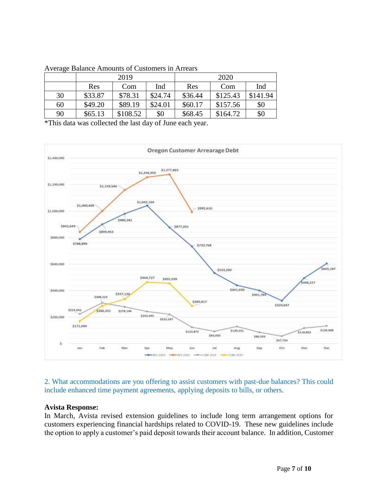|    | 2019    |          |         | 2020    |          |          |
|----|---------|----------|---------|---------|----------|----------|
|    | Res     | Com      | Ind     | Res     | Com      | Ind      |
| 30 | \$33.87 | \$78.31  | \$24.74 | \$36.44 | \$125.43 | \$141.94 |
| 60 | \$49.20 | \$89.19  | \$24.01 | \$60.17 | \$157.56 | \$0      |
| 90 | \$65.13 | \$108.52 | \$0     | \$68.45 | \$164.72 | \$0      |

#### Average Balance Amounts of Customers in Arrears

\*This data was collected the last day of June each year.



2. What accommodations are you offering to assist customers with past-due balances? This could include enhanced time payment agreements, applying deposits to bills, or others.

#### **Avista Response:**

In March, Avista revised extension guidelines to include long term arrangement options for customers experiencing financial hardships related to COVID-19. These new guidelines include the option to apply a customer's paid deposit towards their account balance. In addition, Customer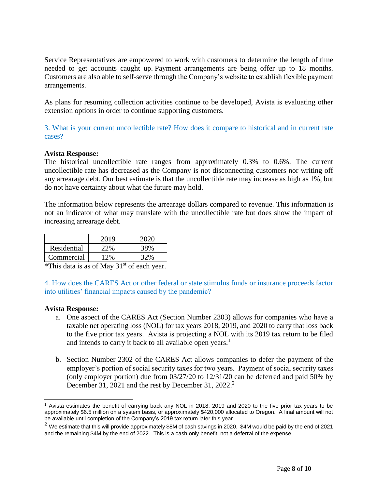Service Representatives are empowered to work with customers to determine the length of time needed to get accounts caught up. Payment arrangements are being offer up to 18 months. Customers are also able to self-serve through the Company's website to establish flexible payment arrangements.

As plans for resuming collection activities continue to be developed, Avista is evaluating other extension options in order to continue supporting customers.

3. What is your current uncollectible rate? How does it compare to historical and in current rate cases?

# **Avista Response:**

The historical uncollectible rate ranges from approximately 0.3% to 0.6%. The current uncollectible rate has decreased as the Company is not disconnecting customers nor writing off any arrearage debt. Our best estimate is that the uncollectible rate may increase as high as 1%, but do not have certainty about what the future may hold.

The information below represents the arrearage dollars compared to revenue. This information is not an indicator of what may translate with the uncollectible rate but does show the impact of increasing arrearage debt.

|             | 2019 | 2020 |
|-------------|------|------|
| Residential | 22%  | 38%  |
| Commercial  | 2%   |      |

\*This data is as of May  $31<sup>st</sup>$  of each year.

4. How does the CARES Act or other federal or state stimulus funds or insurance proceeds factor into utilities' financial impacts caused by the pandemic?

#### **Avista Response:**

- a. One aspect of the CARES Act (Section Number 2303) allows for companies who have a taxable net operating loss (NOL) for tax years 2018, 2019, and 2020 to carry that loss back to the five prior tax years. Avista is projecting a NOL with its 2019 tax return to be filed and intends to carry it back to all available open years.<sup>1</sup>
- b. Section Number 2302 of the CARES Act allows companies to defer the payment of the employer's portion of social security taxes for two years. Payment of social security taxes (only employer portion) due from 03/27/20 to 12/31/20 can be deferred and paid 50% by December 31, 2021 and the rest by December 31, 2022.<sup>2</sup>

 $\overline{a}$ <sup>1</sup> Avista estimates the benefit of carrying back any NOL in 2018, 2019 and 2020 to the five prior tax years to be approximately \$6.5 million on a system basis, or approximately \$420,000 allocated to Oregon. A final amount will not be available until completion of the Company's 2019 tax return later this year.

<sup>&</sup>lt;sup>2</sup> We estimate that this will provide approximately \$8M of cash savings in 2020. \$4M would be paid by the end of 2021 and the remaining \$4M by the end of 2022. This is a cash only benefit, not a deferral of the expense.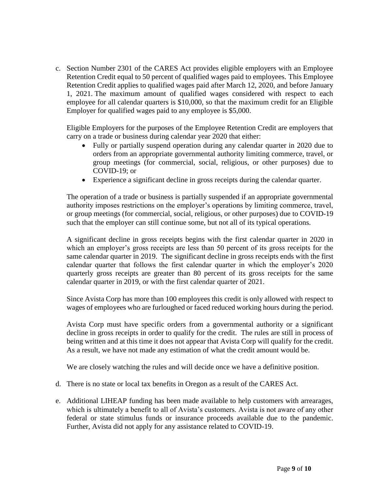c. Section Number 2301 of the CARES Act provides eligible employers with an Employee Retention Credit equal to 50 percent of qualified wages paid to employees. This Employee Retention Credit applies to qualified wages paid after March 12, 2020, and before January 1, 2021. The maximum amount of qualified wages considered with respect to each employee for all calendar quarters is \$10,000, so that the maximum credit for an Eligible Employer for qualified wages paid to any employee is \$5,000.

Eligible Employers for the purposes of the Employee Retention Credit are employers that carry on a trade or business during calendar year 2020 that either:

- Fully or partially suspend operation during any calendar quarter in 2020 due to orders from an appropriate governmental authority limiting commerce, travel, or group meetings (for commercial, social, religious, or other purposes) due to COVID-19; or
- Experience a significant decline in gross receipts during the calendar quarter.

The operation of a trade or business is partially suspended if an appropriate governmental authority imposes restrictions on the employer's operations by limiting commerce, travel, or group meetings (for commercial, social, religious, or other purposes) due to COVID-19 such that the employer can still continue some, but not all of its typical operations.

A significant decline in gross receipts begins with the first calendar quarter in 2020 in which an employer's gross receipts are less than 50 percent of its gross receipts for the same calendar quarter in 2019. The significant decline in gross receipts ends with the first calendar quarter that follows the first calendar quarter in which the employer's 2020 quarterly gross receipts are greater than 80 percent of its gross receipts for the same calendar quarter in 2019, or with the first calendar quarter of 2021.

Since Avista Corp has more than 100 employees this credit is only allowed with respect to wages of employees who are furloughed or faced reduced working hours during the period.

Avista Corp must have specific orders from a governmental authority or a significant decline in gross receipts in order to qualify for the credit. The rules are still in process of being written and at this time it does not appear that Avista Corp will qualify for the credit. As a result, we have not made any estimation of what the credit amount would be.

We are closely watching the rules and will decide once we have a definitive position.

- d. There is no state or local tax benefits in Oregon as a result of the CARES Act.
- e. Additional LIHEAP funding has been made available to help customers with arrearages, which is ultimately a benefit to all of Avista's customers. Avista is not aware of any other federal or state stimulus funds or insurance proceeds available due to the pandemic. Further, Avista did not apply for any assistance related to COVID-19.